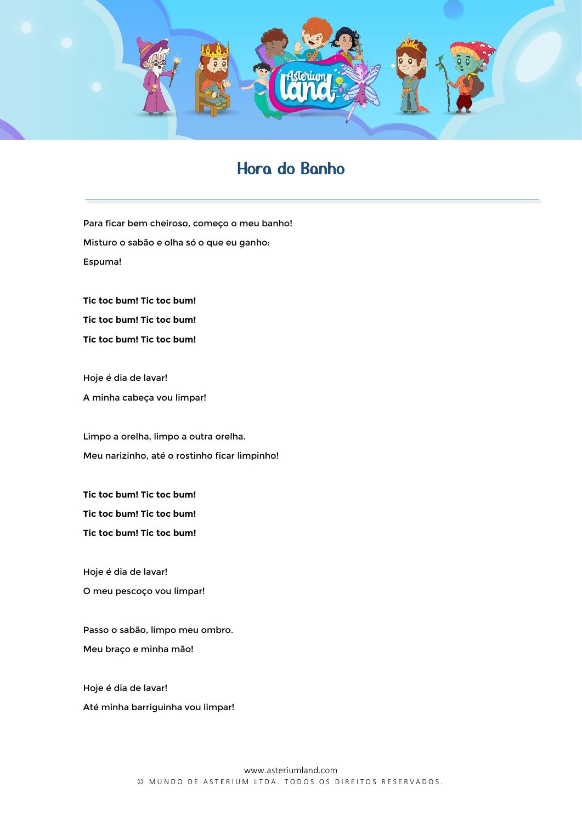

## Hora do Banho

Para ficar bem cheiroso, começo o meu banho! Misturo o sabão e olha só o que eu ganho: Espuma!

**Tic toc bum! Tic toc bum! Tic toc bum! Tic toc bum! Tic toc bum! Tic toc bum!**

Hoje é dia de lavar! A minha cabeça vou limpar!

Limpo a orelha, limpo a outra orelha. Meu narizinho, até o rostinho ficar limpinho!

**Tic toc bum! Tic toc bum! Tic toc bum! Tic toc bum! Tic toc bum! Tic toc bum!**

Hoje é dia de lavar! O meu pescoço vou limpar!

Passo o sabão, limpo meu ombro. Meu braço e minha mão!

Hoje é dia de lavar! Até minha barriguinha vou limpar!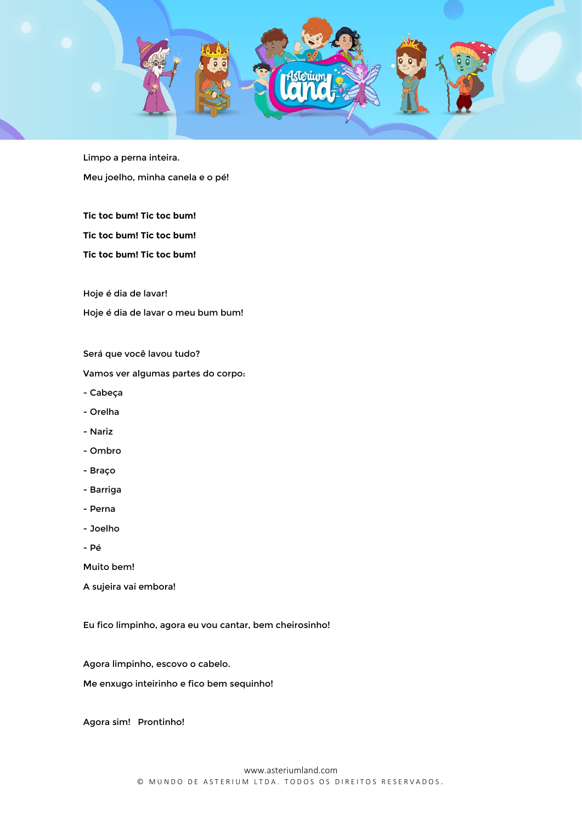

Limpo a perna inteira. Meu joelho, minha canela e o pé!

**Tic toc bum! Tic toc bum! Tic toc bum! Tic toc bum! Tic toc bum! Tic toc bum!**

Hoje é dia de lavar! Hoje é dia de lavar o meu bum bum!

Será que você lavou tudo?

Vamos ver algumas partes do corpo:

- Cabeça
- Orelha
- Nariz
- Ombro
- Braço
- Barriga
- Perna
- Joelho
- Pé

Muito bem!

A sujeira vai embora!

Eu fico limpinho, agora eu vou cantar, bem cheirosinho!

Agora limpinho, escovo o cabelo.

Me enxugo inteirinho e fico bem sequinho!

Agora sim! Prontinho!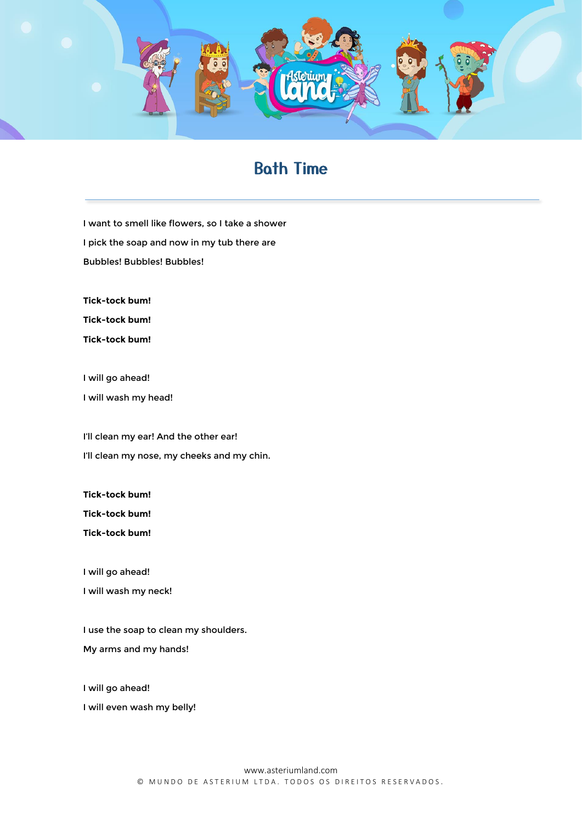

## Bath Time

I want to smell like flowers, so I take a shower I pick the soap and now in my tub there are Bubbles! Bubbles! Bubbles!

**Tick-tock bum!**

**Tick-tock bum!**

**Tick-tock bum!**

I will go ahead!

I will wash my head!

I'll clean my ear! And the other ear! I'll clean my nose, my cheeks and my chin.

**Tick-tock bum!**

**Tick-tock bum!**

**Tick-tock bum!**

I will go ahead!

I will wash my neck!

I use the soap to clean my shoulders. My arms and my hands!

I will go ahead!

I will even wash my belly!